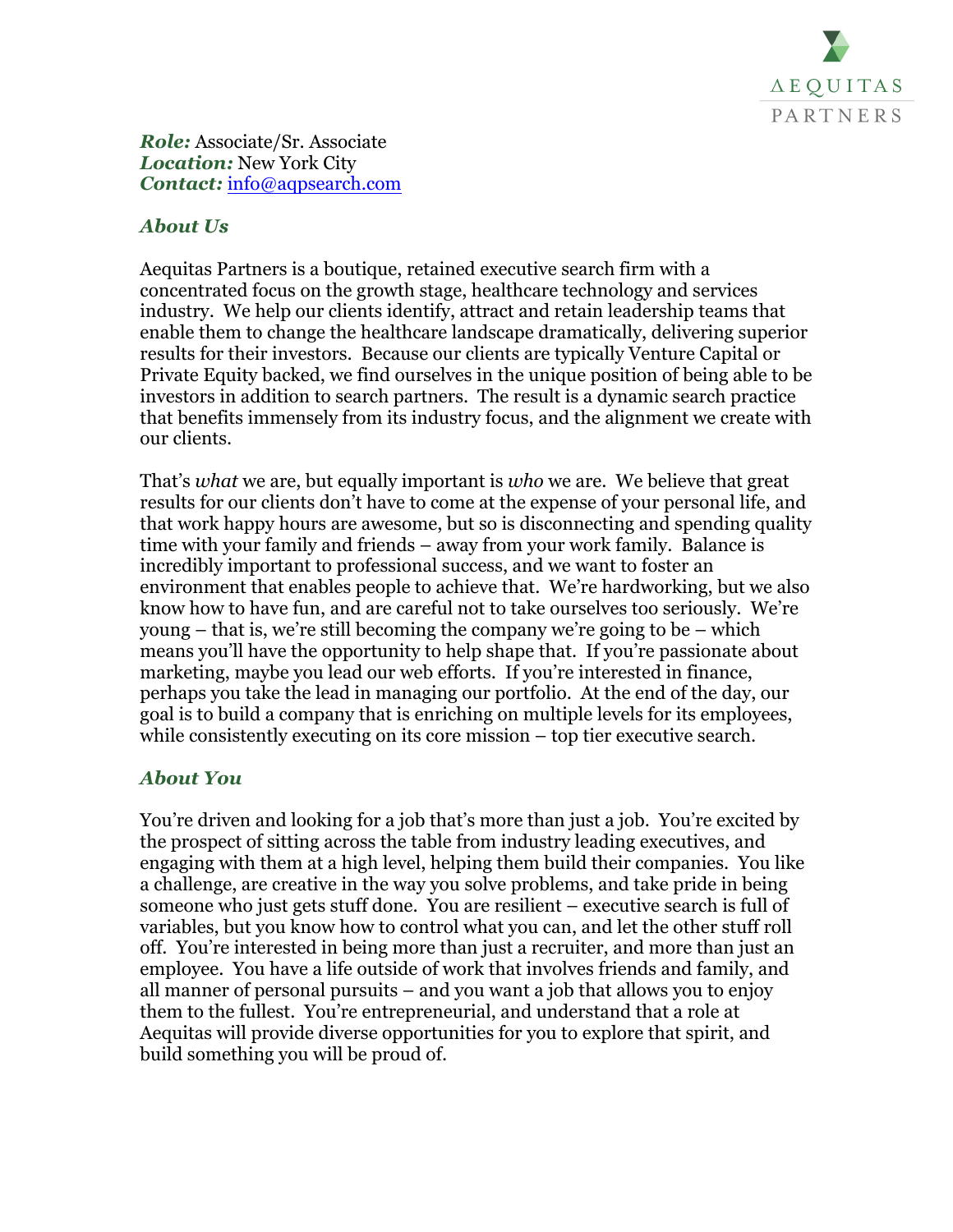

*Role:* Associate/Sr. Associate *Location:* New York City *Contact:* info@aqpsearch.com

## *About Us*

Aequitas Partners is a boutique, retained executive search firm with a concentrated focus on the growth stage, healthcare technology and services industry. We help our clients identify, attract and retain leadership teams that enable them to change the healthcare landscape dramatically, delivering superior results for their investors. Because our clients are typically Venture Capital or Private Equity backed, we find ourselves in the unique position of being able to be investors in addition to search partners. The result is a dynamic search practice that benefits immensely from its industry focus, and the alignment we create with our clients.

That's *what* we are, but equally important is *who* we are. We believe that great results for our clients don't have to come at the expense of your personal life, and that work happy hours are awesome, but so is disconnecting and spending quality time with your family and friends – away from your work family. Balance is incredibly important to professional success, and we want to foster an environment that enables people to achieve that. We're hardworking, but we also know how to have fun, and are careful not to take ourselves too seriously. We're young – that is, we're still becoming the company we're going to be – which means you'll have the opportunity to help shape that. If you're passionate about marketing, maybe you lead our web efforts. If you're interested in finance, perhaps you take the lead in managing our portfolio. At the end of the day, our goal is to build a company that is enriching on multiple levels for its employees, while consistently executing on its core mission – top tier executive search.

## *About You*

You're driven and looking for a job that's more than just a job. You're excited by the prospect of sitting across the table from industry leading executives, and engaging with them at a high level, helping them build their companies. You like a challenge, are creative in the way you solve problems, and take pride in being someone who just gets stuff done. You are resilient – executive search is full of variables, but you know how to control what you can, and let the other stuff roll off. You're interested in being more than just a recruiter, and more than just an employee. You have a life outside of work that involves friends and family, and all manner of personal pursuits – and you want a job that allows you to enjoy them to the fullest. You're entrepreneurial, and understand that a role at Aequitas will provide diverse opportunities for you to explore that spirit, and build something you will be proud of.